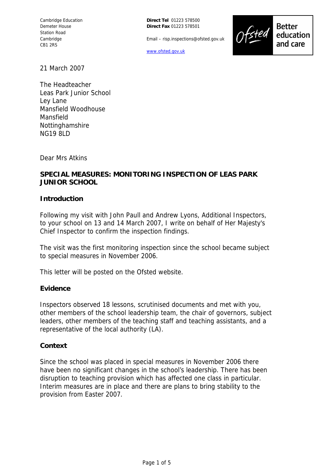**Direct Tel** 01223 578500 **Direct Fax** 01223 578501

Email – risp.inspections@ofsted.gov.uk

www.ofsted.gov.uk



**Better** education and care

21 March 2007

The Headteacher Leas Park Junior School Ley Lane Mansfield Woodhouse Mansfield Nottinghamshire NG19 8LD

Dear Mrs Atkins

### **SPECIAL MEASURES: MONITORING INSPECTION OF LEAS PARK JUNIOR SCHOOL**

#### **Introduction**

Following my visit with John Paull and Andrew Lyons, Additional Inspectors, to your school on 13 and 14 March 2007, I write on behalf of Her Majesty's Chief Inspector to confirm the inspection findings.

The visit was the first monitoring inspection since the school became subject to special measures in November 2006.

This letter will be posted on the Ofsted website.

#### **Evidence**

Inspectors observed 18 lessons, scrutinised documents and met with you, other members of the school leadership team, the chair of governors, subject leaders, other members of the teaching staff and teaching assistants, and a representative of the local authority (LA).

#### **Context**

Since the school was placed in special measures in November 2006 there have been no significant changes in the school's leadership. There has been disruption to teaching provision which has affected one class in particular. Interim measures are in place and there are plans to bring stability to the provision from Easter 2007.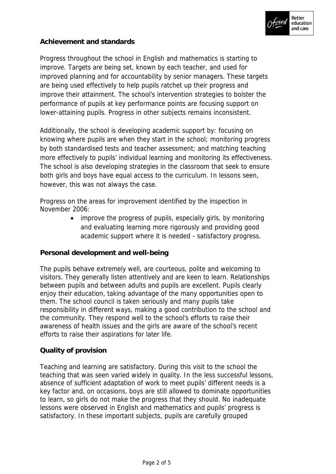

# **Achievement and standards**

Progress throughout the school in English and mathematics is starting to improve. Targets are being set, known by each teacher, and used for improved planning and for accountability by senior managers. These targets are being used effectively to help pupils ratchet up their progress and improve their attainment. The school's intervention strategies to bolster the performance of pupils at key performance points are focusing support on lower-attaining pupils. Progress in other subjects remains inconsistent.

Additionally, the school is developing academic support by: focusing on knowing where pupils are when they start in the school; monitoring progress by both standardised tests and teacher assessment; and matching teaching more effectively to pupils' individual learning and monitoring its effectiveness. The school is also developing strategies in the classroom that seek to ensure both girls and boys have equal access to the curriculum. In lessons seen, however, this was not always the case.

Progress on the areas for improvement identified by the inspection in November 2006:

> • improve the progress of pupils, especially girls, by monitoring and evaluating learning more rigorously and providing good academic support where it is needed - satisfactory progress.

#### **Personal development and well-being**

The pupils behave extremely well, are courteous, polite and welcoming to visitors. They generally listen attentively and are keen to learn. Relationships between pupils and between adults and pupils are excellent. Pupils clearly enjoy their education, taking advantage of the many opportunities open to them. The school council is taken seriously and many pupils take responsibility in different ways, making a good contribution to the school and the community. They respond well to the school's efforts to raise their awareness of health issues and the girls are aware of the school's recent efforts to raise their aspirations for later life.

# **Quality of provision**

Teaching and learning are satisfactory. During this visit to the school the teaching that was seen varied widely in quality. In the less successful lessons, absence of sufficient adaptation of work to meet pupils' different needs is a key factor and, on occasions, boys are still allowed to dominate opportunities to learn, so girls do not make the progress that they should. No inadequate lessons were observed in English and mathematics and pupils' progress is satisfactory. In these important subjects, pupils are carefully grouped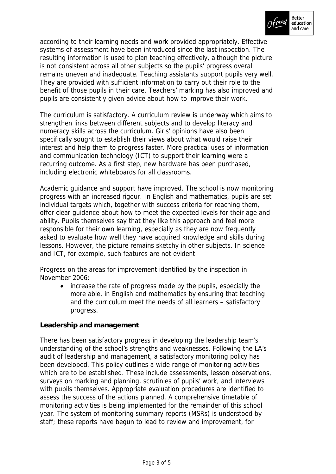

according to their learning needs and work provided appropriately. Effective systems of assessment have been introduced since the last inspection. The resulting information is used to plan teaching effectively, although the picture is not consistent across all other subjects so the pupils' progress overall remains uneven and inadequate. Teaching assistants support pupils very well. They are provided with sufficient information to carry out their role to the benefit of those pupils in their care. Teachers' marking has also improved and pupils are consistently given advice about how to improve their work.

The curriculum is satisfactory. A curriculum review is underway which aims to strengthen links between different subjects and to develop literacy and numeracy skills across the curriculum. Girls' opinions have also been specifically sought to establish their views about what would raise their interest and help them to progress faster. More practical uses of information and communication technology (ICT) to support their learning were a recurring outcome. As a first step, new hardware has been purchased, including electronic whiteboards for all classrooms.

Academic guidance and support have improved. The school is now monitoring progress with an increased rigour. In English and mathematics, pupils are set individual targets which, together with success criteria for reaching them, offer clear guidance about how to meet the expected levels for their age and ability. Pupils themselves say that they like this approach and feel more responsible for their own learning, especially as they are now frequently asked to evaluate how well they have acquired knowledge and skills during lessons. However, the picture remains sketchy in other subjects. In science and ICT, for example, such features are not evident.

Progress on the areas for improvement identified by the inspection in November 2006:

• increase the rate of progress made by the pupils, especially the more able, in English and mathematics by ensuring that teaching and the curriculum meet the needs of all learners – satisfactory progress.

**Leadership and management**

There has been satisfactory progress in developing the leadership team's understanding of the school's strengths and weaknesses. Following the LA's audit of leadership and management, a satisfactory monitoring policy has been developed. This policy outlines a wide range of monitoring activities which are to be established. These include assessments, lesson observations, surveys on marking and planning, scrutinies of pupils' work, and interviews with pupils themselves. Appropriate evaluation procedures are identified to assess the success of the actions planned. A comprehensive timetable of monitoring activities is being implemented for the remainder of this school year. The system of monitoring summary reports (MSRs) is understood by staff; these reports have begun to lead to review and improvement, for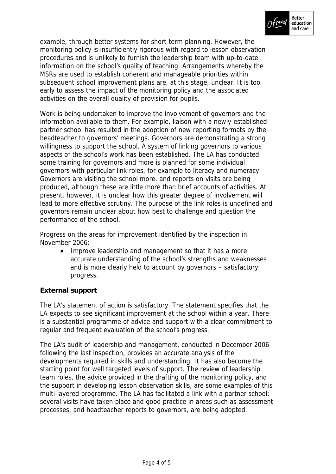

example, through better systems for short-term planning. However, the monitoring policy is insufficiently rigorous with regard to lesson observation procedures and is unlikely to furnish the leadership team with up-to-date information on the school's quality of teaching. Arrangements whereby the MSRs are used to establish coherent and manageable priorities within subsequent school improvement plans are, at this stage, unclear. It is too early to assess the impact of the monitoring policy and the associated activities on the overall quality of provision for pupils.

Work is being undertaken to improve the involvement of governors and the information available to them. For example, liaison with a newly-established partner school has resulted in the adoption of new reporting formats by the headteacher to governors' meetings. Governors are demonstrating a strong willingness to support the school. A system of linking governors to various aspects of the school's work has been established. The LA has conducted some training for governors and more is planned for some individual governors with particular link roles, for example to literacy and numeracy. Governors are visiting the school more, and reports on visits are being produced, although these are little more than brief accounts of activities. At present, however, it is unclear how this greater degree of involvement will lead to more effective scrutiny. The purpose of the link roles is undefined and governors remain unclear about how best to challenge and question the performance of the school.

Progress on the areas for improvement identified by the inspection in November 2006:

• Improve leadership and management so that it has a more accurate understanding of the school's strengths and weaknesses and is more clearly held to account by governors – satisfactory progress.

# **External support**

The LA's statement of action is satisfactory. The statement specifies that the LA expects to see significant improvement at the school within a year. There is a substantial programme of advice and support with a clear commitment to regular and frequent evaluation of the school's progress.

The LA's audit of leadership and management, conducted in December 2006 following the last inspection, provides an accurate analysis of the developments required in skills and understanding. It has also become the starting point for well targeted levels of support. The review of leadership team roles, the advice provided in the drafting of the monitoring policy, and the support in developing lesson observation skills, are some examples of this multi-layered programme. The LA has facilitated a link with a partner school: several visits have taken place and good practice in areas such as assessment processes, and headteacher reports to governors, are being adopted.